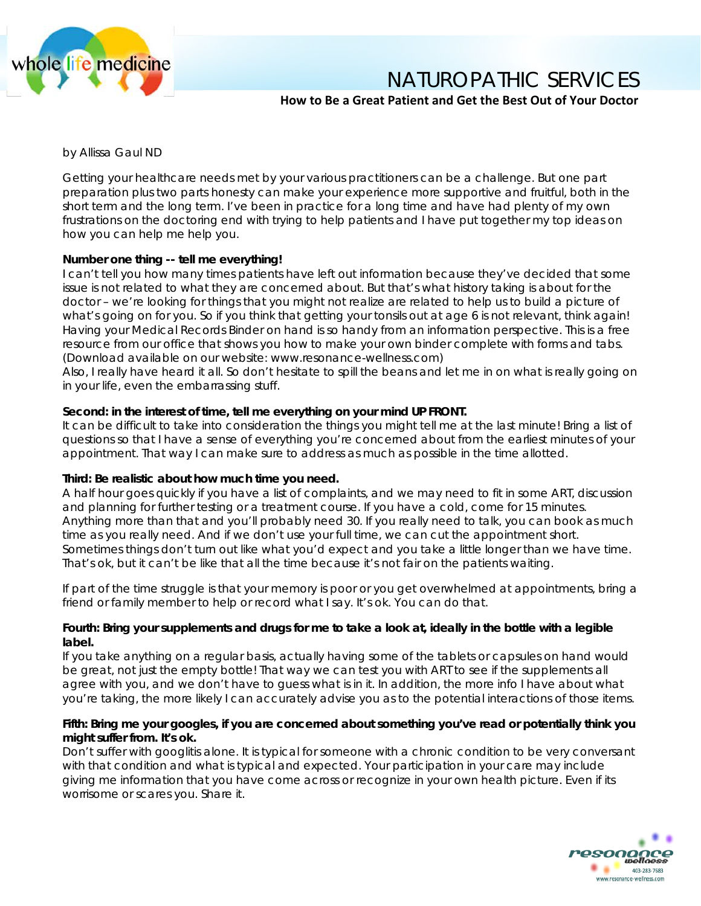

NATUROPATHIC SERVICES

# **How to Be a Great Patient and Get the Best Out of Your Doctor**

*by Allissa Gaul ND*

Getting your healthcare needs met by your various practitioners can be a challenge. But one part preparation plus two parts honesty can make your experience more supportive and fruitful, both in the short term and the long term. I've been in practice for a long time and have had plenty of my own frustrations on the doctoring end with trying to help patients and I have put together my top ideas on how you can help me help you.

## **Number one thing -- tell me everything!**

I can't tell you how many times patients have left out information because they've decided that some issue is not related to what they are concerned about. But that's what history taking is about for the doctor – we're looking for things that you might not realize are related to help us to build a picture of what's going on for you. So if you think that getting your tonsils out at age 6 is not relevant, think again! Having your Medical Records Binder on hand is so handy from an information perspective. This is a free resource from our office that shows you how to make your own binder complete with forms and tabs. (Download available on our website: www.resonance-wellness.com)

Also, I really have heard it all. So don't hesitate to spill the beans and let me in on what is really going on in your life, even the embarrassing stuff.

#### **Second: in the interest of time, tell me everything on your mind UP FRONT.**

It can be difficult to take into consideration the things you might tell me at the last minute! Bring a list of questions so that I have a sense of everything you're concerned about from the earliest minutes of your appointment. That way I can make sure to address as much as possible in the time allotted.

#### **Third: Be realistic about how much time you need.**

A half hour goes quickly if you have a list of complaints, and we may need to fit in some ART, discussion and planning for further testing or a treatment course. If you have a cold, come for 15 minutes. Anything more than that and you'll probably need 30. If you really need to talk, you can book as much time as you really need. And if we don't use your full time, we can cut the appointment short. Sometimes things don't turn out like what you'd expect and you take a little longer than we have time. That's ok, but it can't be like that all the time because it's not fair on the patients waiting.

If part of the time struggle is that your memory is poor or you get overwhelmed at appointments, bring a friend or family member to help or record what I say. It's ok. You can do that.

### **Fourth: Bring your supplements and drugs for me to take a look at, ideally in the bottle with a legible label.**

If you take anything on a regular basis, actually having some of the tablets or capsules on hand would be great, not just the empty bottle! That way we can test you with ART to see if the supplements all agree with you, and we don't have to guess what is in it. In addition, the more info I have about what you're taking, the more likely I can accurately advise you as to the potential interactions of those items.

### **Fifth: Bring me your googles, if you are concerned about something you've read or potentially think you might suffer from. It's ok.**

Don't suffer with googlitis alone. It is typical for someone with a chronic condition to be very conversant with that condition and what is typical and expected. Your participation in your care may include giving me information that you have come across or recognize in your own health picture. Even if its worrisome or scares you. Share it.